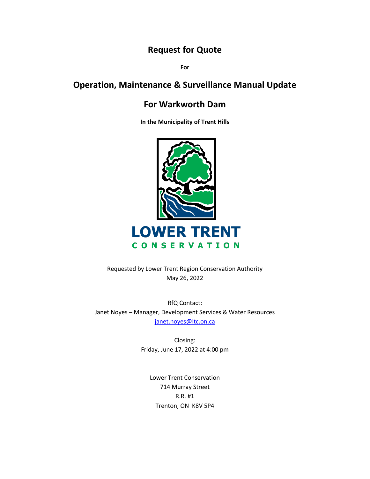## **Request for Quote**

**For**

# **Operation, Maintenance & Surveillance Manual Update**

### **For Warkworth Dam**

**In the Municipality of Trent Hills**



Requested by Lower Trent Region Conservation Authority May 26, 2022

RfQ Contact: Janet Noyes – Manager, Development Services & Water Resources [janet.noyes@ltc.on.ca](mailto:janet.noyes@ltc.on.ca)

> Closing: Friday, June 17, 2022 at 4:00 pm

Lower Trent Conservation 714 Murray Street R.R. #1 Trenton, ON K8V 5P4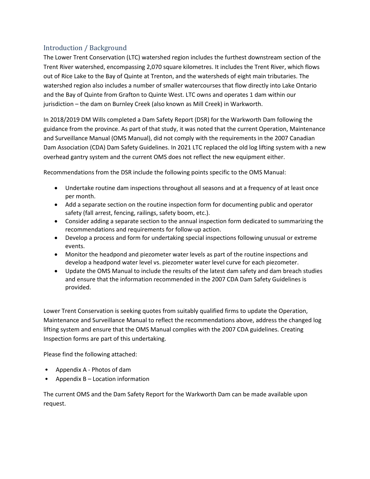#### Introduction / Background

The Lower Trent Conservation (LTC) watershed region includes the furthest downstream section of the Trent River watershed, encompassing 2,070 square kilometres. It includes the Trent River, which flows out of Rice Lake to the Bay of Quinte at Trenton, and the watersheds of eight main tributaries. The watershed region also includes a number of smaller watercourses that flow directly into Lake Ontario and the Bay of Quinte from Grafton to Quinte West. LTC owns and operates 1 dam within our jurisdiction – the dam on Burnley Creek (also known as Mill Creek) in Warkworth.

In 2018/2019 DM Wills completed a Dam Safety Report (DSR) for the Warkworth Dam following the guidance from the province. As part of that study, it was noted that the current Operation, Maintenance and Surveillance Manual (OMS Manual), did not comply with the requirements in the 2007 Canadian Dam Association (CDA) Dam Safety Guidelines. In 2021 LTC replaced the old log lifting system with a new overhead gantry system and the current OMS does not reflect the new equipment either.

Recommendations from the DSR include the following points specific to the OMS Manual:

- Undertake routine dam inspections throughout all seasons and at a frequency of at least once per month.
- Add a separate section on the routine inspection form for documenting public and operator safety (fall arrest, fencing, railings, safety boom, etc.).
- Consider adding a separate section to the annual inspection form dedicated to summarizing the recommendations and requirements for follow-up action.
- Develop a process and form for undertaking special inspections following unusual or extreme events.
- Monitor the headpond and piezometer water levels as part of the routine inspections and develop a headpond water level vs. piezometer water level curve for each piezometer.
- Update the OMS Manual to include the results of the latest dam safety and dam breach studies and ensure that the information recommended in the 2007 CDA Dam Safety Guidelines is provided.

Lower Trent Conservation is seeking quotes from suitably qualified firms to update the Operation, Maintenance and Surveillance Manual to reflect the recommendations above, address the changed log lifting system and ensure that the OMS Manual complies with the 2007 CDA guidelines. Creating Inspection forms are part of this undertaking.

Please find the following attached:

- Appendix A Photos of dam
- Appendix B Location information

The current OMS and the Dam Safety Report for the Warkworth Dam can be made available upon request.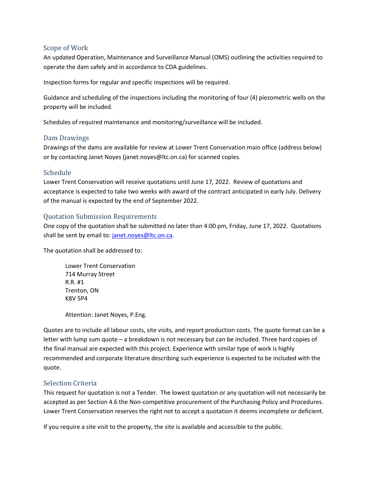#### Scope of Work

An updated Operation, Maintenance and Surveillance Manual (OMS) outlining the activities required to operate the dam safely and in accordance to CDA guidelines.

Inspection forms for regular and specific inspections will be required.

Guidance and scheduling of the inspections including the monitoring of four (4) piezometric wells on the property will be included.

Schedules of required maintenance and monitoring/surveillance will be included.

#### Dam Drawings

Drawings of the dams are available for review at Lower Trent Conservation main office (address below) or by contacting Janet Noyes (janet.noyes@ltc.on.ca) for scanned copies.

#### Schedule

Lower Trent Conservation will receive quotations until June 17, 2022. Review of quotations and acceptance is expected to take two weeks with award of the contract anticipated in early July. Delivery of the manual is expected by the end of September 2022.

#### Quotation Submission Requirements

One copy of the quotation shall be submitted no later than 4:00 pm, Friday, June 17, 2022. Quotations shall be sent by email to[: janet.noyes@ltc.on.ca.](mailto:janet.noyes@ltc.on.ca)

The quotation shall be addressed to:

Lower Trent Conservation 714 Murray Street R.R. #1 Trenton, ON K8V 5P4

Attention: Janet Noyes, P.Eng.

Quotes are to include all labour costs, site visits, and report production costs. The quote format can be a letter with lump sum quote – a breakdown is not necessary but can be included. Three hard copies of the final manual are expected with this project. Experience with similar type of work is highly recommended and corporate literature describing such experience is expected to be included with the quote.

#### Selection Criteria

This request for quotation is not a Tender. The lowest quotation or any quotation will not necessarily be accepted as per Section 4.6 the Non-competitive procurement of the Purchasing Policy and Procedures. Lower Trent Conservation reserves the right not to accept a quotation it deems incomplete or deficient.

If you require a site visit to the property, the site is available and accessible to the public.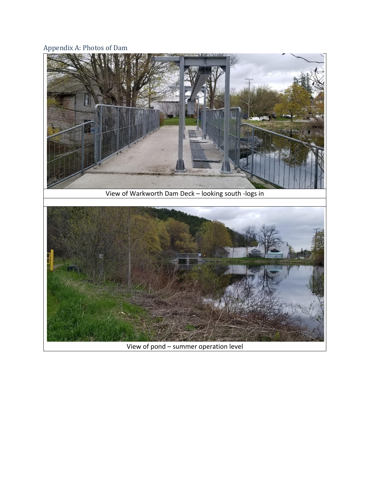### Appendix A: Photos of Dam



View of pond – summer operation level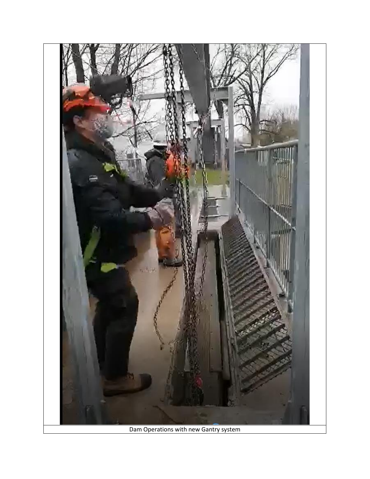